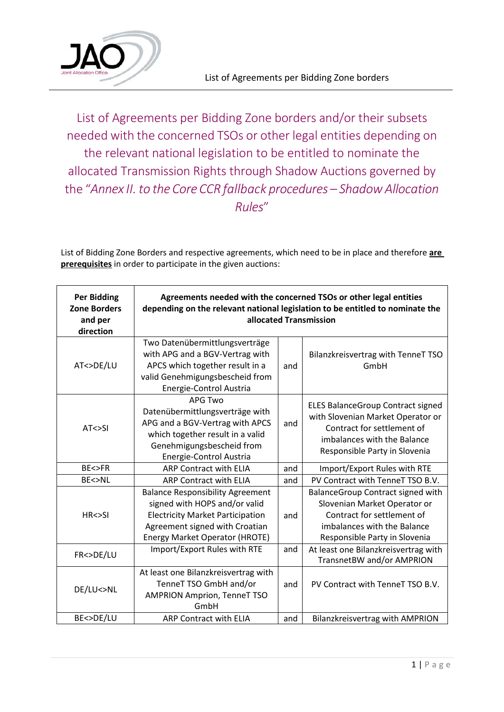

List of Agreements per Bidding Zone borders and/or their subsets needed with the concerned TSOs or other legal entities depending on the relevant national legislation to be entitled to nominate the allocated Transmission Rights through Shadow Auctions governed by the "*Annex II. to the CoreCCR fallback procedures – ShadowAllocation Rules*"

List of Bidding Zone Borders and respective agreements, which need to be in place and therefore **are prerequisites** in order to participate in the given auctions:

| <b>Per Bidding</b><br><b>Zone Borders</b><br>and per<br>direction | Agreements needed with the concerned TSOs or other legal entities<br>depending on the relevant national legislation to be entitled to nominate the<br>allocated Transmission                   |     |                                                                                                                                                                             |  |
|-------------------------------------------------------------------|------------------------------------------------------------------------------------------------------------------------------------------------------------------------------------------------|-----|-----------------------------------------------------------------------------------------------------------------------------------------------------------------------------|--|
| AT<>DE/LU                                                         | Two Datenübermittlungsverträge<br>with APG and a BGV-Vertrag with<br>APCS which together result in a<br>valid Genehmigungsbescheid from<br>Energie-Control Austria                             | and | Bilanzkreisvertrag with TenneT TSO<br>GmbH                                                                                                                                  |  |
| AT < > SI                                                         | <b>APG Two</b><br>Datenübermittlungsverträge with<br>APG and a BGV-Vertrag with APCS<br>which together result in a valid<br>Genehmigungsbescheid from<br>Energie-Control Austria               | and | <b>ELES BalanceGroup Contract signed</b><br>with Slovenian Market Operator or<br>Contract for settlement of<br>imbalances with the Balance<br>Responsible Party in Slovenia |  |
| BE<>FR                                                            | <b>ARP Contract with ELIA</b>                                                                                                                                                                  | and | Import/Export Rules with RTE                                                                                                                                                |  |
| BE<>NL                                                            | <b>ARP Contract with ELIA</b>                                                                                                                                                                  | and | PV Contract with TenneT TSO B.V.                                                                                                                                            |  |
| HR < > SI                                                         | <b>Balance Responsibility Agreement</b><br>signed with HOPS and/or valid<br><b>Electricity Market Participation</b><br>Agreement signed with Croatian<br><b>Energy Market Operator (HROTE)</b> | and | BalanceGroup Contract signed with<br>Slovenian Market Operator or<br>Contract for settlement of<br>imbalances with the Balance<br>Responsible Party in Slovenia             |  |
| FR<>DE/LU                                                         | Import/Export Rules with RTE                                                                                                                                                                   | and | At least one Bilanzkreisvertrag with<br>TransnetBW and/or AMPRION                                                                                                           |  |
| DE/LU<>NL                                                         | At least one Bilanzkreisvertrag with<br>TenneT TSO GmbH and/or<br><b>AMPRION Amprion, TenneT TSO</b><br>GmbH                                                                                   | and | PV Contract with TenneT TSO B.V.                                                                                                                                            |  |
| BE<>DE/LU                                                         | <b>ARP Contract with ELIA</b>                                                                                                                                                                  | and | <b>Bilanzkreisvertrag with AMPRION</b>                                                                                                                                      |  |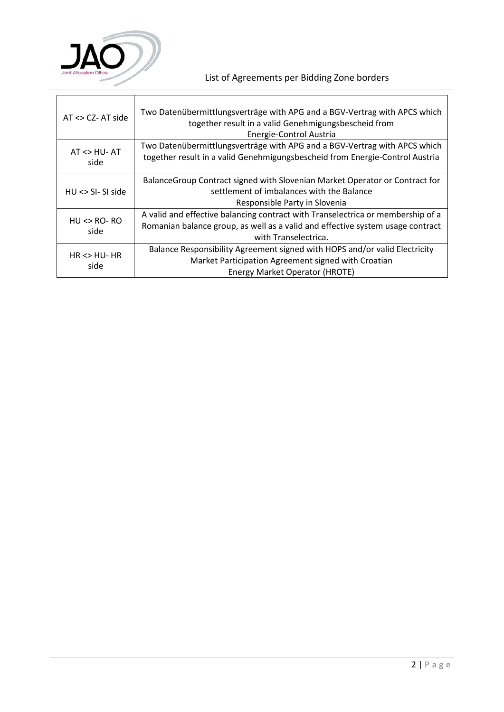

 $\mathbf{r}$ 

## List of Agreements per Bidding Zone borders

| $AT \ll CZ$ - AT side                | Two Datenübermittlungsverträge with APG and a BGV-Vertrag with APCS which<br>together result in a valid Genehmigungsbescheid from<br>Energie-Control Austria                              |
|--------------------------------------|-------------------------------------------------------------------------------------------------------------------------------------------------------------------------------------------|
| $AT < HU - AT$<br>side               | Two Datenübermittlungsverträge with APG and a BGV-Vertrag with APCS which<br>together result in a valid Genehmigungsbescheid from Energie-Control Austria                                 |
| $HU \ll  SI - SI$ side               | Balance Group Contract signed with Slovenian Market Operator or Contract for<br>settlement of imbalances with the Balance<br>Responsible Party in Slovenia                                |
| $HU \Leftrightarrow RO - RO$<br>side | A valid and effective balancing contract with Transelectrica or membership of a<br>Romanian balance group, as well as a valid and effective system usage contract<br>with Transelectrica. |
| $HR \leq HU$ - HR<br>side            | Balance Responsibility Agreement signed with HOPS and/or valid Electricity<br>Market Participation Agreement signed with Croatian<br>Energy Market Operator (HROTE)                       |

ă.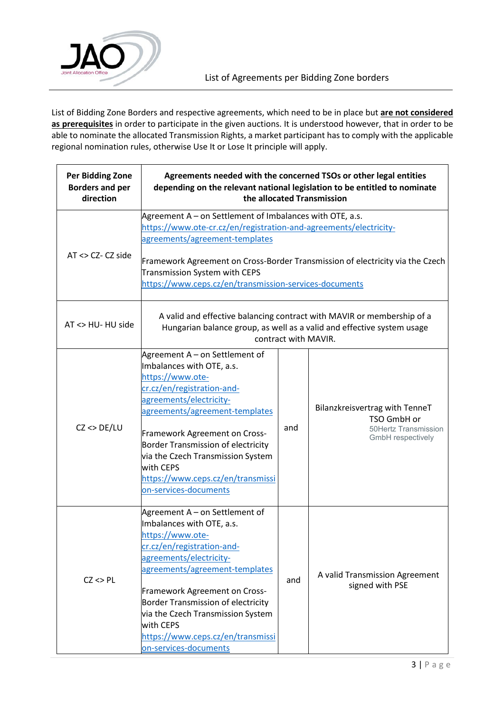

List of Bidding Zone Borders and respective agreements, which need to be in place but **are not considered as prerequisites** in order to participate in the given auctions. It is understood however, that in order to be able to nominate the allocated Transmission Rights, a market participant has to comply with the applicable regional nomination rules, otherwise Use It or Lose It principle will apply.

| <b>Per Bidding Zone</b><br><b>Borders and per</b><br>direction | Agreements needed with the concerned TSOs or other legal entities<br>depending on the relevant national legislation to be entitled to nominate<br>the allocated Transmission                                                                                                                                                                                             |     |                                                                                            |
|----------------------------------------------------------------|--------------------------------------------------------------------------------------------------------------------------------------------------------------------------------------------------------------------------------------------------------------------------------------------------------------------------------------------------------------------------|-----|--------------------------------------------------------------------------------------------|
| $AT \ll CZ$ - CZ side                                          | Agreement A - on Settlement of Imbalances with OTE, a.s.<br>https://www.ote-cr.cz/en/registration-and-agreements/electricity-<br>agreements/agreement-templates<br>Framework Agreement on Cross-Border Transmission of electricity via the Czech<br>Transmission System with CEPS<br>https://www.ceps.cz/en/transmission-services-documents                              |     |                                                                                            |
| AT <> HU- HU side                                              | A valid and effective balancing contract with MAVIR or membership of a<br>Hungarian balance group, as well as a valid and effective system usage<br>contract with MAVIR.                                                                                                                                                                                                 |     |                                                                                            |
| $CZ \ll DE/LU$                                                 | Agreement A - on Settlement of<br>Imbalances with OTE, a.s.<br>https://www.ote-<br>cr.cz/en/registration-and-<br>agreements/electricity-<br>agreements/agreement-templates<br>Framework Agreement on Cross-<br><b>Border Transmission of electricity</b><br>via the Czech Transmission System<br>with CEPS<br>https://www.ceps.cz/en/transmissi<br>on-services-documents | and | Bilanzkreisvertrag with TenneT<br>TSO GmbH or<br>50Hertz Transmission<br>GmbH respectively |
| $CZ \ll P L$                                                   | Agreement A – on Settlement of<br>Imbalances with OTE, a.s.<br>https://www.ote-<br>cr.cz/en/registration-and-<br>agreements/electricity-<br>agreements/agreement-templates<br>Framework Agreement on Cross-<br><b>Border Transmission of electricity</b><br>via the Czech Transmission System<br>with CEPS<br>https://www.ceps.cz/en/transmissi<br>on-services-documents | and | A valid Transmission Agreement<br>signed with PSE                                          |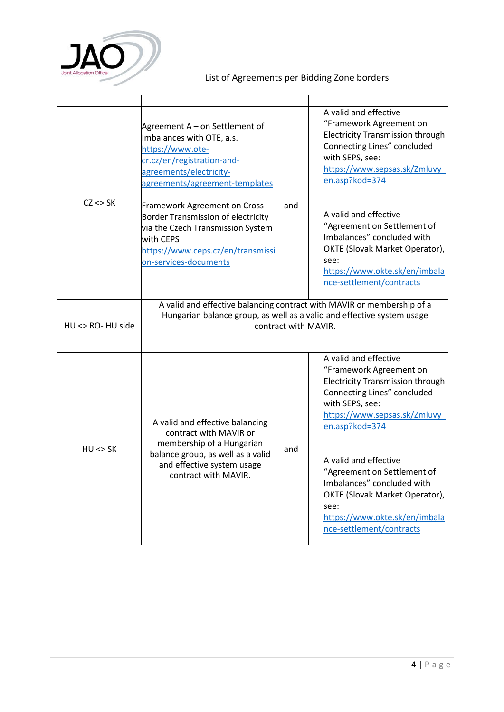

## List of Agreements per Bidding Zone borders

|                   | Agreement A – on Settlement of<br>Imbalances with OTE, a.s.<br>https://www.ote-<br>cr.cz/en/registration-and-<br>agreements/electricity-<br>agreements/agreement-templates                 |     | A valid and effective<br>"Framework Agreement on<br><b>Electricity Transmission through</b><br>Connecting Lines" concluded<br>with SEPS, see:<br>https://www.sepsas.sk/Zmluvy<br>en.asp?kod=374                                                                                                                                                                                              |
|-------------------|--------------------------------------------------------------------------------------------------------------------------------------------------------------------------------------------|-----|----------------------------------------------------------------------------------------------------------------------------------------------------------------------------------------------------------------------------------------------------------------------------------------------------------------------------------------------------------------------------------------------|
| $CZ \ll SK$       | Framework Agreement on Cross-<br><b>Border Transmission of electricity</b><br>via the Czech Transmission System<br>with CEPS<br>https://www.ceps.cz/en/transmissi<br>on-services-documents | and | A valid and effective<br>"Agreement on Settlement of<br>Imbalances" concluded with<br>OKTE (Slovak Market Operator),<br>see:<br>https://www.okte.sk/en/imbala<br>nce-settlement/contracts                                                                                                                                                                                                    |
| HU <> RO- HU side | A valid and effective balancing contract with MAVIR or membership of a<br>Hungarian balance group, as well as a valid and effective system usage<br>contract with MAVIR.                   |     |                                                                                                                                                                                                                                                                                                                                                                                              |
| $HU \ll SU$       | A valid and effective balancing<br>contract with MAVIR or<br>membership of a Hungarian<br>balance group, as well as a valid<br>and effective system usage<br>contract with MAVIR.          | and | A valid and effective<br>"Framework Agreement on<br><b>Electricity Transmission through</b><br>Connecting Lines" concluded<br>with SEPS, see:<br>https://www.sepsas.sk/Zmluvy<br>en.asp?kod=374<br>A valid and effective<br>"Agreement on Settlement of<br>Imbalances" concluded with<br>OKTE (Slovak Market Operator),<br>see:<br>https://www.okte.sk/en/imbala<br>nce-settlement/contracts |